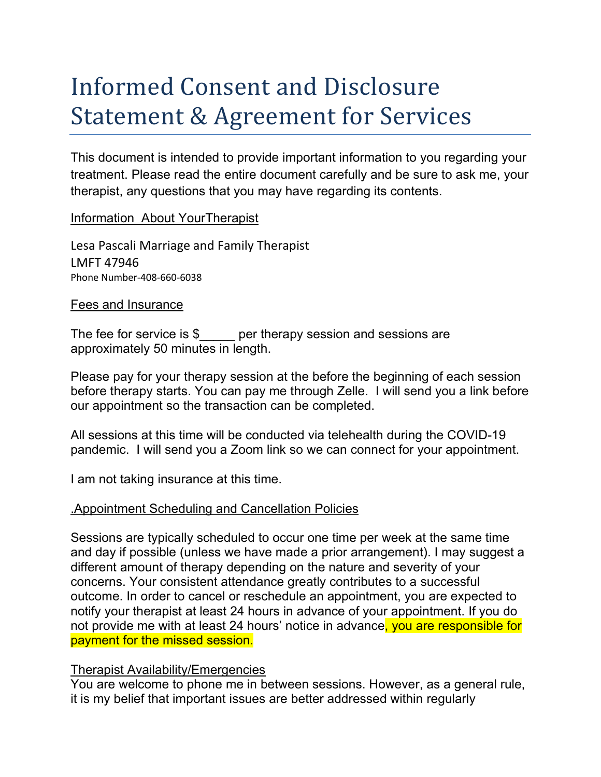# Informed Consent and Disclosure Statement & Agreement for Services

This document is intended to provide important information to you regarding your treatment. Please read the entire document carefully and be sure to ask me, your therapist, any questions that you may have regarding its contents.

Information About YourTherapist

Lesa Pascali Marriage and Family Therapist LMFT 47946 Phone Number-408-660-6038

#### Fees and Insurance

The fee for service is \$ per therapy session and sessions are approximately 50 minutes in length.

Please pay for your therapy session at the before the beginning of each session before therapy starts. You can pay me through Zelle. I will send you a link before our appointment so the transaction can be completed.

All sessions at this time will be conducted via telehealth during the COVID-19 pandemic. I will send you a Zoom link so we can connect for your appointment.

I am not taking insurance at this time.

#### .Appointment Scheduling and Cancellation Policies

Sessions are typically scheduled to occur one time per week at the same time and day if possible (unless we have made a prior arrangement). I may suggest a different amount of therapy depending on the nature and severity of your concerns. Your consistent attendance greatly contributes to a successful outcome. In order to cancel or reschedule an appointment, you are expected to notify your therapist at least 24 hours in advance of your appointment. If you do not provide me with at least 24 hours' notice in advance, you are responsible for payment for the missed session.

#### Therapist Availability/Emergencies

You are welcome to phone me in between sessions. However, as a general rule, it is my belief that important issues are better addressed within regularly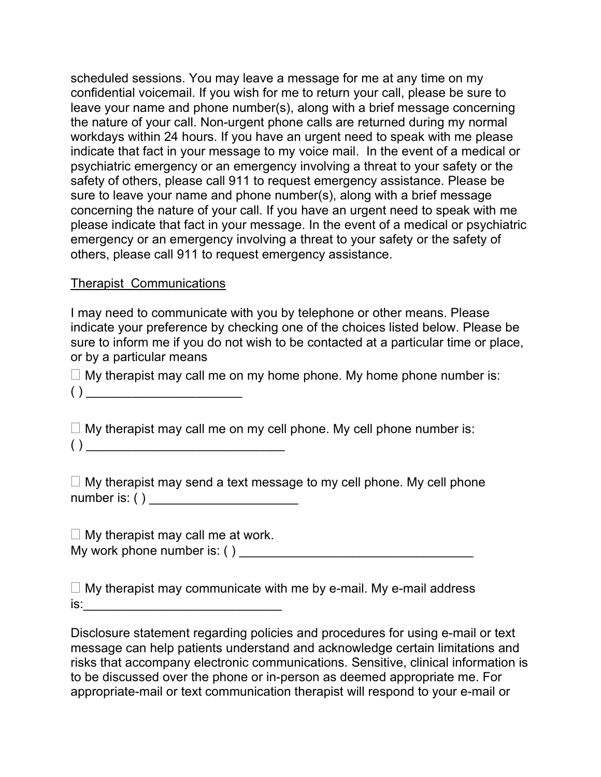scheduled sessions. You may leave a message for me at any time on my confidential voicemail. If you wish for me to return your call, please be sure to leave your name and phone number(s), along with a brief message concerning the nature of your call. Non-urgent phone calls are returned during my normal workdays within 24 hours. If you have an urgent need to speak with me please indicate that fact in your message to my voice mail. In the event of a medical or psychiatric emergency or an emergency involving a threat to your safety or the safety of others, please call 911 to request emergency assistance. Please be sure to leave your name and phone number(s), along with a brief message concerning the nature of your call. If you have an urgent need to speak with me please indicate that fact in your message. In the event of a medical or psychiatric emergency or an emergency involving a threat to your safety or the safety of others, please call 911 to request emergency assistance.

#### Therapist Communications

I may need to communicate with you by telephone or other means. Please indicate your preference by checking one of the choices listed below. Please be sure to inform me if you do not wish to be contacted at a particular time or place, or by a particular means

 $\Box$  My therapist may call me on my home phone. My home phone number is:

 $\left(\vphantom{\raisebox{1.5pt}{.}}\right)$   $\rule{0pt}{1.5pt}{0.4pt}$ 

 $\Box$  My therapist may call me on my cell phone. My cell phone number is:  $( ) \fbox{---}$ 

 $\Box$  My therapist may send a text message to my cell phone. My cell phone number is: ( ) \_\_\_\_\_\_\_\_\_\_\_\_\_\_\_\_\_\_\_\_\_

 $\Box$  My therapist may call me at work. My work phone number is: ( ) \_\_\_\_\_\_\_\_\_\_\_\_\_\_\_\_\_\_\_\_\_\_\_\_\_\_\_\_\_\_\_\_\_

 $\Box$  My therapist may communicate with me by e-mail. My e-mail address  $is:$ 

Disclosure statement regarding policies and procedures for using e-mail or text message can help patients understand and acknowledge certain limitations and risks that accompany electronic communications. Sensitive, clinical information is to be discussed over the phone or in-person as deemed appropriate me. For appropriate-mail or text communication therapist will respond to your e-mail or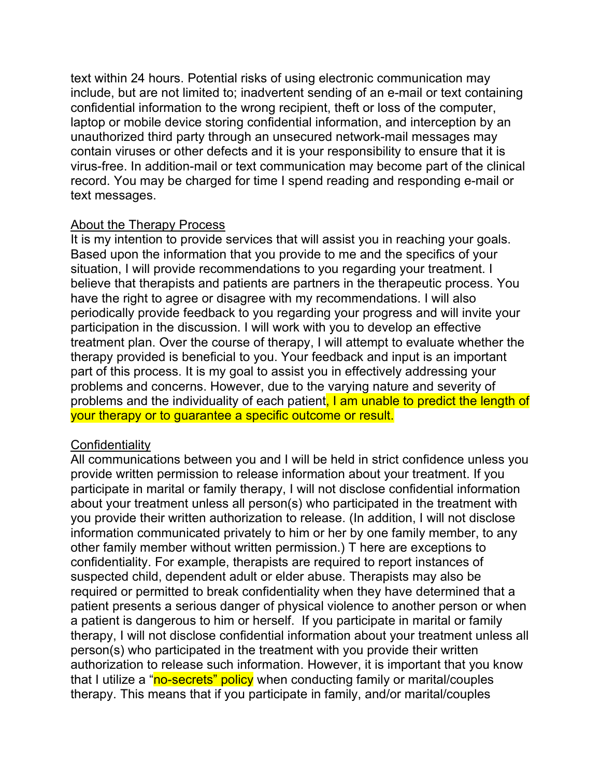text within 24 hours. Potential risks of using electronic communication may include, but are not limited to; inadvertent sending of an e-mail or text containing confidential information to the wrong recipient, theft or loss of the computer, laptop or mobile device storing confidential information, and interception by an unauthorized third party through an unsecured network-mail messages may contain viruses or other defects and it is your responsibility to ensure that it is virus-free. In addition-mail or text communication may become part of the clinical record. You may be charged for time I spend reading and responding e-mail or text messages.

#### About the Therapy Process

It is my intention to provide services that will assist you in reaching your goals. Based upon the information that you provide to me and the specifics of your situation, I will provide recommendations to you regarding your treatment. I believe that therapists and patients are partners in the therapeutic process. You have the right to agree or disagree with my recommendations. I will also periodically provide feedback to you regarding your progress and will invite your participation in the discussion. I will work with you to develop an effective treatment plan. Over the course of therapy, I will attempt to evaluate whether the therapy provided is beneficial to you. Your feedback and input is an important part of this process. It is my goal to assist you in effectively addressing your problems and concerns. However, due to the varying nature and severity of problems and the individuality of each patient, I am unable to predict the length of your therapy or to guarantee a specific outcome or result.

#### **Confidentiality**

All communications between you and I will be held in strict confidence unless you provide written permission to release information about your treatment. If you participate in marital or family therapy, I will not disclose confidential information about your treatment unless all person(s) who participated in the treatment with you provide their written authorization to release. (In addition, I will not disclose information communicated privately to him or her by one family member, to any other family member without written permission.) T here are exceptions to confidentiality. For example, therapists are required to report instances of suspected child, dependent adult or elder abuse. Therapists may also be required or permitted to break confidentiality when they have determined that a patient presents a serious danger of physical violence to another person or when a patient is dangerous to him or herself. If you participate in marital or family therapy, I will not disclose confidential information about your treatment unless all person(s) who participated in the treatment with you provide their written authorization to release such information. However, it is important that you know that I utilize a "no-secrets" policy when conducting family or marital/couples therapy. This means that if you participate in family, and/or marital/couples